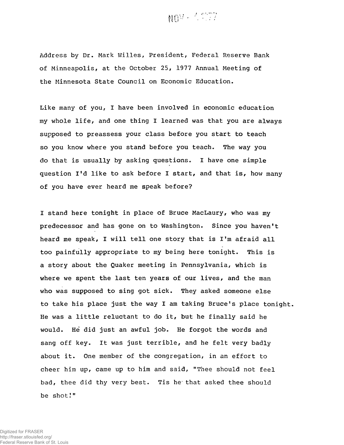

**Address by Dr. Mark Willes, President, Federal Reserve Bank of Minneapolis, at the October 25, 1977 Annual Meeting of the Minnesota State Council on Economic Education.**

**Like many of you, I have been involved in economic education my whole life, and one thing I learned was that you are always supposed to preassess your class before you start to teach so you know where you stand before you teach. The way you do that is usually by asking questions. I have one simple question I'd like to ask before I start, and that is, how many of you have ever heard me speak before?**

**I stand here tonight in place of Bruce MacLaury, who was my predecessor and has gone on to Washington. Since you haven't heard me speak, I will tell one story that is I 'm afraid all too painfully appropriate to my being here tonight. This is a story about the Quaker meeting in Pennsylvania, which is where we spent the last ten years of our lives, and the man who was supposed to sing got sick. They asked someone else to take his place just the way I am taking Bruce's place tonight. He was a little reluctant to do it, but he finally said he would. He did just an awful job. He forgot the words and sang off key. It was just terrible, and he felt very badly about it. One member of the congregation, in an effort to cheer him up, came up to him and said, "Thee should not feel bad, thee did thy very best. Tis he- that asked thee should be shot!"**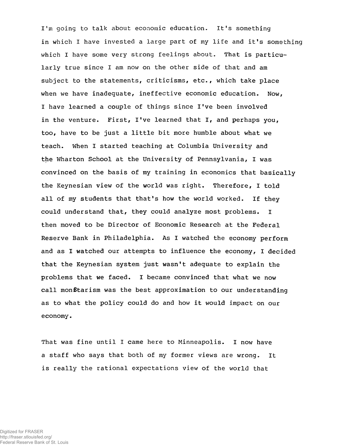**I'm going to talk about economic education. It's something in which I have invested a large part of my life and it's something which I have some very strong feelings about. That is particularly true since I am now on the other side of that and am subject to the statements, criticisms, etc., which take place when we have inadequate, ineffective economic education. Now, I have learned a couple of things since I've been involved in the venture. First, I've learned that I, and perhaps you, too, have to be just a little bit more humble about what we teach. When I started teaching at Columbia University and the Wharton School at the University of Pennsylvania, I was convinced on the basis of my training in economics that basically the Keynesian view of the world was right. Therefore, I told all of my students that that's how the world worked. If they could understand that, they could analyze most problems. I then moved to be Director of Economic Research at the Federal Reserve Bank in Philadelphia. As I watched the economy perform and as I watched our attempts to influence the economy, I decided that the Keynesian system just wasn't adequate to explain the problems that we faced. I became convinced that what we now** call mon*tarism was the best approximation to our understanding* **as to what the policy could do and how it would impact on our economy.**

**That was fine until I came here to Minneapolis. I now have a staff who says that both of my former views are wrong. It is really the rational expectations view of the world that**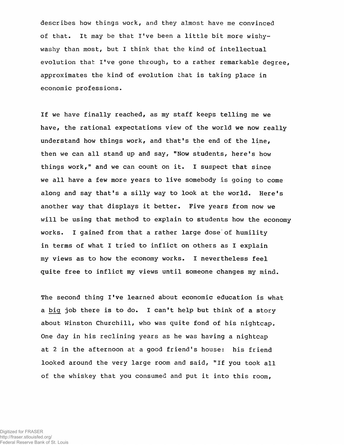describes how things work, and they almost have me convinced **of that. It may be that I've been a little bit more wishywashy than most/ but I think that the kind of intellectual evolution that I've gone through, to a rather remarkable degree, approximates the kind of evolution that is taking place in economic professions.**

**If we have finally reached, as my staff keeps telling me we have, the rational expectations view of the world we now really understand how things work, and that's the end of the line, then we can all stand up and say, "Now students, here's how things work," and we can count on it. I suspect that since we all have a few more years to live somebody is going to come along and say that's a silly way to look at the world. Here's another way that displays it better. Five years from now we will be using that method to explain to students how the economy works. I gained from that a rather large dose'of humility in terms of what I tried to inflict on others as I explain my views as to how the economy works. I nevertheless feel quite free to inflict my views until someone changes my mind.**

The second thing I've learned about economic education is what **a big job there is to do. I can't help but think of a story about Winston Churchill, who was quite fond of his nightcap. One day in his reclining years as he was having a nightcap at 2 in the afternoon at a good friend's house: his friend looked around the very large room and said, "If you took all of the whiskey that you consumed and put it into this room,**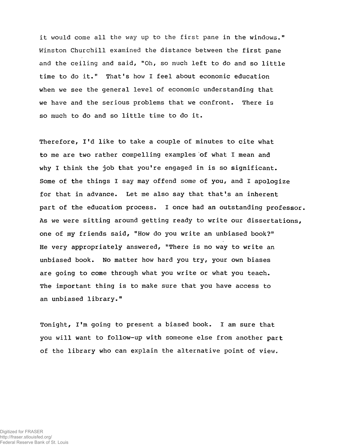**it would come all the way up to the first pane in the windows." Winston Churchill examined the distance between the first pane and the ceiling and said, "Oh, so much left to do and so little time to do it." That's how I feel about economic education when we see the general level of economic understanding that we have and the serious problems that we confront. There is so much to do and so little time to do it.**

**Therefore, I'd like to take a couple of minutes to cite what to me are two rather compelling examples of what I mean and why I think the job that you're engaged in is so significant. Some of the things I say may offend some of you, and X apologize for that in advance. Let me also say that that's an inherent part of the education process. I once had an outstanding professor. As we were sitting around getting ready to write our dissertations, one of my friends said, "How do you write an unbiased book?" He very appropriately answered, "There is no way to write an unbiased book. No matter how hard you try, your own biases are going to come through what you write or what you teach. The important thing is to make sure that you have access to an unbiased library."**

**Tonight, I'm going to present a biased book. I am sure that you will want to follow-up with someone else from another part of the library who can explain the alternative point of view.**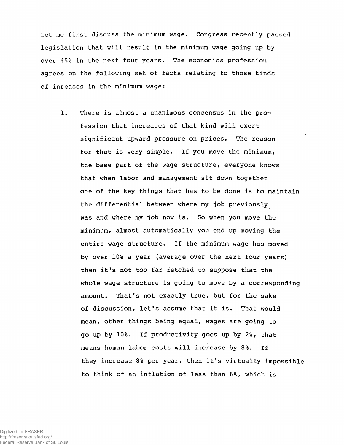**Let me first discuss the minimum wage. Congress recently passed legislation that will result in the minimum wage going up by over 45% in the next four years. The economics profession agrees on the following set of facts relating to those kinds of inreases in the minimum wage:**

**1. There is almost a unanimous concensus in the profession that increases of that kind will exert significant upward pressure on prices. The reason for that is very simple. If you move the minimum, the base part of the wage structure, everyone knows that when labor and management sit down together one of the key things that has to be done is to maintain the differential between where my job previously was and where my job now is. So when you move the minimum, almost automatically you end up moving the entire wage structure. If the minimum wage has moved by over 10% a year (average over the next four years) then it's not too far fetched to suppose that the whole wage structure is going to move by a corresponding amount. That's not exactly true, but for the sake of discussion, let's assume that it is. That would mean, other things being equal, wages are going to go up by 10%. If productivity goes up by 2%, that means human labor costs will increase by 8%. If they increase 8% per year, then it's virtually impossible to think of an inflation of less than 6%, which is**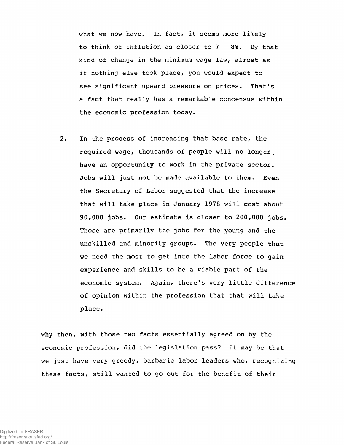**what we now have. In fact, it seems more likely to think of inflation as closer to 7 - 8%. By that kind of change in the minimum wage law, almost as if nothing else took place, you would expect to see significant upward pressure on prices. That's a fact that really has a remarkable concensus within the economic profession today.**

**2. In the process of increasing that base rate, the required wage, thousands of people will no longer . have an opportunity to work in the private sector. Jobs will just not be made available to them. Even the Secretary of Labor suggested that the increase that will take place in January 1978 will cost about 90,000 jobs. Our estimate is closer to 200,000 jobs. Those are primarily the jobs for the young and the unskilled and minority groups. The very people that we need the most to get into the labor force to gain experience and skills to be a viable part of the economic system. Again, there's very little difference of opinion within the profession that that will take place.**

**Why then, with those two facts essentially agreed on by the economic profession, did the legislation pass? It may be that we just have very greedy, barbaric labor leaders who, recognizing these facts, still wanted to go out for the benefit of their**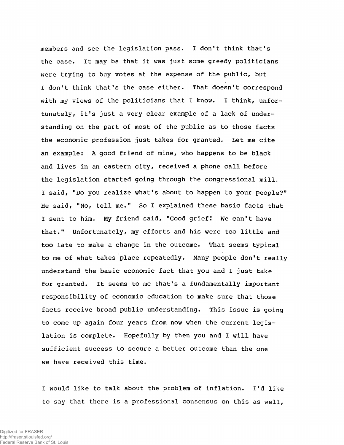**members and see the legislation pass. I don't think that's the case. It may be that it was just some greedy politicians were trying to buy votes at the expense of the public, but I don't think that's the case either. That doesn't correspond with my views of the politicians that I know. I think, unfortunately, it's just a very clear example of a lack of understanding on the part of most of the public as to those facts the economic profession just takes for granted. Let me cite an example: A good friend of mine, who happens to be black and lives in an eastern city, received a phone call before the legislation started going through the congressional mill. I said, "Do you realize what's about to happen to your people?" He said, "No, tell me." So I explained these basic facts that I sent to him. My friend said, "Good grief! We can't have that." Unfortunately, my efforts and his were too little and too late to make a change in the outcome. That seems typical to me of what takes place repeatedly. Many people don't really understand the basic economic fact that you and I just take for granted. It seems to me that's a fundamentally important responsibility of economic education to make sure that those facts receive broad public understanding. This issue is going to come up again four years from now when the current legislation is complete. Hopefully by then you and I will have sufficient success to secure a better outcome than the one we have received this time.**

**I would like to talk about the problem of inflation. I'd like to say that there is a professional consensus on this as well,**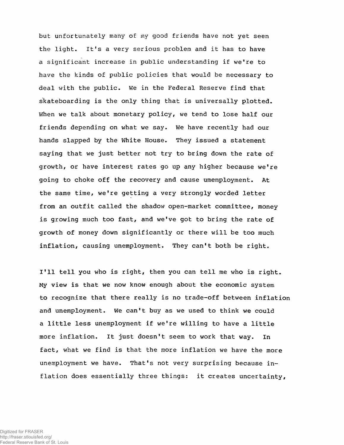**but unfortunately many of my good friends have not yet seen the light. It's a very serious problem and it has to have a significant increase in public understanding if we're to have the kinds of public policies that would be necessary to deal with the public. We in the Federal Reserve find that skateboarding is the only thing that is universally plotted. When we talk about monetary policy, we tend to lose half our friends depending on what we say. We have recently had our hands slapped by the White House. They issued a statement saying that we just better not try to bring down the rate of growth, or have interest rates go up any higher because we're going to choke** *off* **the recovery and cause umemployment. At the same time, we're getting a very strongly worded letter from an outfit called the shadow open-market committee, money is growing much too fast, and we've got to bring the rate of growth of money down significantly or there will be too much inflation, causing unemployment. They can't both be right.**

**I'll tell you who is right, then you can tell me who is right. My view is that we now know enough about the economic system to recognize that there really is no trade-off between inflation and unemployment. We can't buy as we used to think we could a little less unemployment if we're willing to have a little more inflation. It just doesn't seem to work that way. In fact, what we find is that the more inflation we have the more unemployment we have. That's not very surprising because inflation does essentially three things: it creates uncertainty,**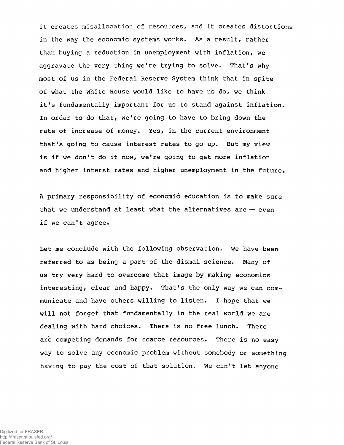**it creates misallocation of resources, and it creates distortions in the way the economic systems works. As a result, rather than buying a reduction in unemployment with inflation, we aggravate the very thing we're trying to solve. That's why most of us in the Federal Reserve System think that in spite of what the White House would like to have us do, we think it's fundamentally important for us to stand against inflation. In order to do that, we're going to have to bring down the rate of increase of money. Yes, in the current environment that's going to cause interest rates to go up. But my view is if we don't do it now, we're going to get more inflation and higher interst rates and higher unemployment in the future.**

**A primary responsibility of economic education is to make sure that we understand at least what the alternatives are — even if we can't agree.**

**Let me conclude with the following observation. We have been referred to as being a part of the dismal science. Many of us try very hard to overcome that image by making economics** interesting, clear and happy. That's the only way we can com**municate and have others willing to listen. I hope that we will not forget that fundamentally in the real world we are dealing with hard choices. There is no free lunch. There are competing demands for scarce resources. There is no easy way to solve any economic problem without somebody or something having to pay the cost of that solution. We can't let anyone**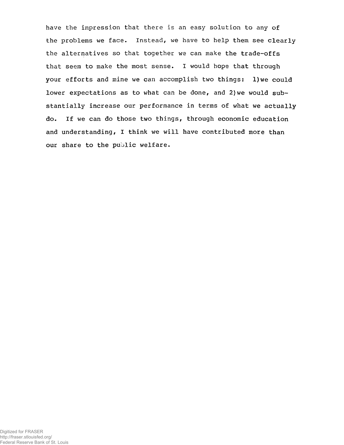**have the impression that there is an easy solution to any of the problems we face. Instead, we have to help them see clearly the alternatives so that together we can make the trade-offs that seem to make the most sense. I would hope that through your efforts and mine we can accomplish two things: l)we could lower expectations as to what can be done, and 2}we would substantially increase our performance in terms of what we actually do. If we can do those two things, through economic education and understanding, I think we will have contributed more than our share to the public welfare.**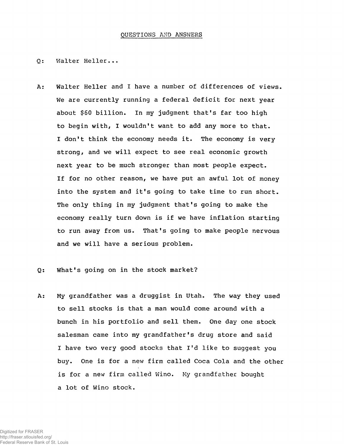## **QUESTIONS AMD ANSWERS**

**Walter Heller...**  $0:$ 

**Walter Heller and I have a number of differences of views.**  $A:$ **We are currently running a federal deficit for next year about \$60 billion. In my judgment that's far too high to begin with, I wouldn't want to add any more to that. I don't think the economy needs it. The economy is very strong, and we will expect to see real economic growth next year to be much stronger than most people expect. If for no other reason, we have put an awful lot of money into the system and it's going to take time to run short. The only thing in my judgment that's going to make the economy really turn down is if we have inflation starting to run away from us. That's going to make people nervous and we will have a serious problem.**

## **What's going on in the stock market?**  $0:$

**My grandfather was a druggist in Utah. The way they used**  $A:$ **to sell stocks is that a man would come around with a bunch in his portfolio and sell them. One day one stock salesman came into my grandfather's drug store and said I have two very good stocks that I'd like to suggest you buy. One is for a new firm called Coca Cola and the other is for a new firm called Wino. My grandfather bought a lot of Wino stock.**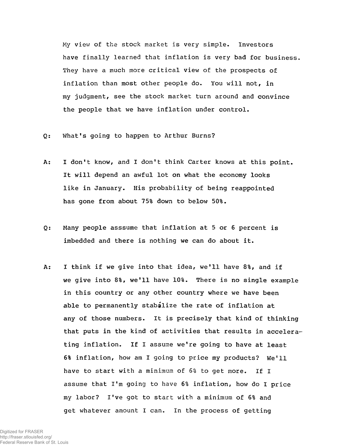**My view of the stock market is very simple. Investors have finally learned that inflation is very bad for business. They have a much more critical view of the prospects of inflation than most other people do. You will not, in my judgment, see the stock market turn around and convince the people that we have inflation under control.**

- $Q:$ **What's going to happen to Arthur Burns?**
- $A$ : **I don't know, and I don't think Carter knows at this point. It will depend an awful lot on what the economy looks like in January. His probability of being reappointed has gone from about 75% down to below 50%.**
- **Many people asssume that inflation at 5 or 6 percent is**  $Q:$ **imbedded and there is nothing we can do about it.**
- **I think if we give into that idea, we'll have 8%, and if** A: we give into 8%, we'll have 10%. There is no single example **in this country or any other country where we have been able to permanently stabilize the rate of inflation at any of those numbers. It is precisely that kind of thinking that puts in the kind of activities that results in accelerating inflation. If I assume w e 're going to have at least** 6% inflation, how am I going to price my products? We'll **have to start with a minimum of 6% to get more. If I assume that I'm going to have 6% inflation, how do I price my labor? I've got to start with a minimum of 6% and get whatever amount I can. In the process of getting**